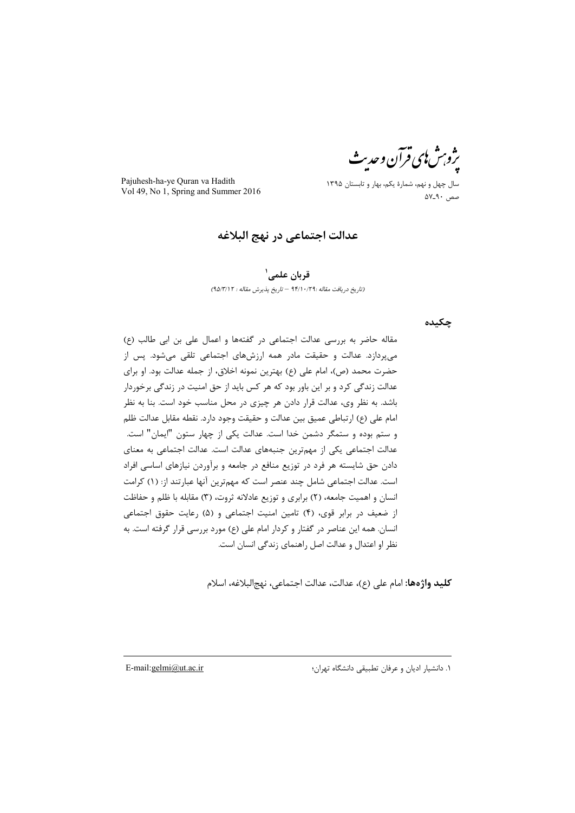ژو س ای فرآن و حد

Pajuhesh-ha-ye Quran va Hadith Vol 49, No 1, Spring and Summer 2016

سال چهل و نهم، شمارۀ یکم، بهار و تابستان 1395 صص <sup>90</sup>ـ<sup>57</sup>

**عدالت اجتماعی در نهج البلاغه**

**1 قربان علمی**

*(تاریخ دریافت مقاله 94/10/29: – تاریخ پذیرش مقاله : 95/3/12)*

**چکیده**

مقاله حاضر به بررسی عدالت اجتماعی در گفتهها و اعمال علی بن ابی طالب (ع) میپردازد. عدالت و حقیقت مادر همه ارزشهای اجتماعی تلقی میشود. پس از حضرت محمد (ص)، امام علی (ع) بهترین نمونه اخلاق، از جمله عدالت بود. او برای عدالت زندگی کرد و بر این باور بود که هر کس باید از حق امنیت در زندگی برخوردار باشد. به نظر وی، عدالت قرار دادن هر چیزی در محل مناسب خود است. بنا به نظر امام علی (ع) ارتباطی عمیق بین عدالت و حقیقت وجود دارد. نقطه مقابل عدالت ظلم و ستم بوده و ستمگر دشمن خدا است. عدالت یکی از چهار ستون "ایمان" است. عدالت اجتماعی یکی از مهمترین جنبههای عدالت است. عدالت اجتماعی به معنای دادن حق شایسته هر فرد در توزیع منافع در جامعه و برآوردن نیازهای اساسی افراد است. عدالت اجتماعی شامل چند عنصر است که مهمترین آنها عبارتند از: (1) کرامت انسان و اهمیت جامعه، (2) برابری و توزیع عادلانه ثروت، (3) مقابله با ظلم و حفاظت از ضعیف در برابر قوی، (4) تامین امنیت اجتماعی و (5) رعایت حقوق اجتماعی انسان. همه این عناصر در گفتار و کردار امام علی (ع) مورد بررسی قرار گرفته است. به نظر او اعتدال و عدالت اصل راهنمای زندگی انسان است.

**کلید واژهها:** امام علی (ع)، عدالت، عدالت اجتماعی، نهجالبلاغه، اسلام

 $\overline{a}$ 

1. دانشیار ادیان و عرفان تطبیقی دانشگاه تهران؛ iF.mail:gelmi@ut.ac.ir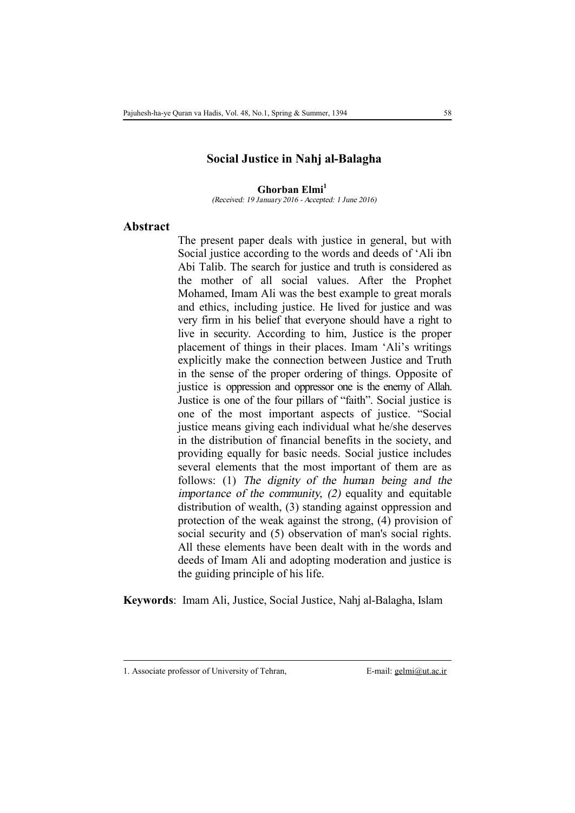### **Social Justice in Nahj al-Balagha**

**Ghorban Elmi<sup>1</sup>**\*

*(Received: 19 January 2016 - Accepted: 1 June 2016)* 

#### **Abstract**

The present paper deals with justice in general, but with Social justice according to the words and deeds of 'Ali ibn Abi Talib. The search for justice and truth is considered as the mother of all social values. After the Prophet Mohamed, Imam Ali was the best example to great morals and ethics, including justice. He lived for justice and was very firm in his belief that everyone should have a right to live in security. According to him, Justice is the proper placement of things in their places. Imam 'Ali's writings explicitly make the connection between Justice and Truth in the sense of the proper ordering of things. Opposite of justice is oppression and oppressor one is the enemy of Allah. Justice is one of the four pillars of "faith". Social justice is one of the most important aspects of justice. "Social justice means giving each individual what he/she deserves in the distribution of financial benefits in the society, and providing equally for basic needs. Social justice includes several elements that the most important of them are as follows: (1) *The dignity of the human being and the importance of the community, (2)* equality and equitable distribution of wealth, (3) standing against oppression and protection of the weak against the strong, (4) provision of social security and (5) observation of man's social rights. All these elements have been dealt with in the words and deeds of Imam Ali and adopting moderation and justice is the guiding principle of his life.

**Keywords**: Imam Ali, Justice, Social Justice, Nahj al-Balagha, Islam

l

<sup>1.</sup> Associate professor of University of Tehran, E-mail: gelmi@ut.ac.ir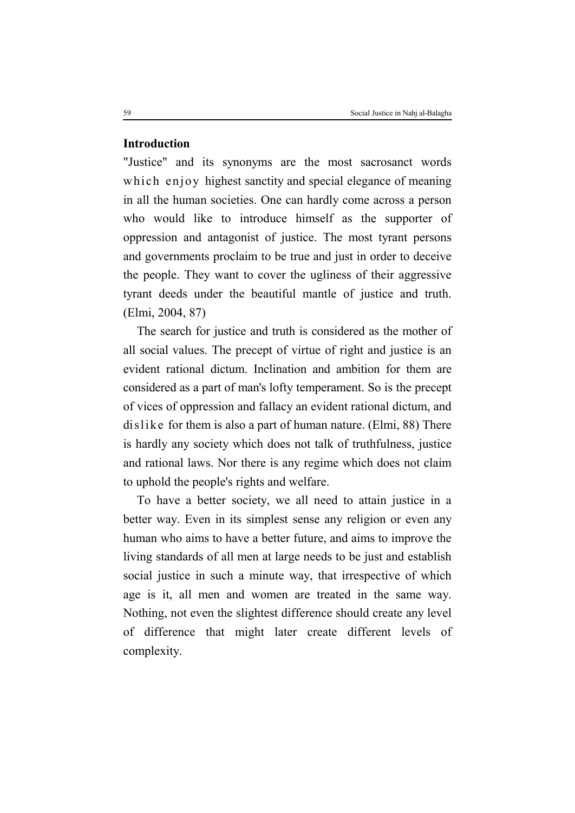### **Introduction**

"Justice" and its synonyms are the most sacrosanct words which enjoy highest sanctity and special elegance of meaning in all the human societies. One can hardly come across a person who would like to introduce himself as the supporter of oppression and antagonist of justice. The most tyrant persons and governments proclaim to be true and just in order to deceive the people. They want to cover the ugliness of their aggressive tyrant deeds under the beautiful mantle of justice and truth. (Elmi, 2004, 87)

The search for justice and truth is considered as the mother of all social values. The precept of virtue of right and justice is an evident rational dictum. Inclination and ambition for them are considered as a part of man's lofty temperament. So is the precept of vices of oppression and fallacy an evident rational dictum, and dislike for them is also a part of human nature. (Elmi, 88) There is hardly any society which does not talk of truthfulness, justice and rational laws. Nor there is any regime which does not claim to uphold the people's rights and welfare.

To have a better society, we all need to attain justice in a better way. Even in its simplest sense any religion or even any human who aims to have a better future, and aims to improve the living standards of all men at large needs to be just and establish social justice in such a minute way, that irrespective of which age is it, all men and women are treated in the same way. Nothing, not even the slightest difference should create any level of difference that might later create different levels of complexity.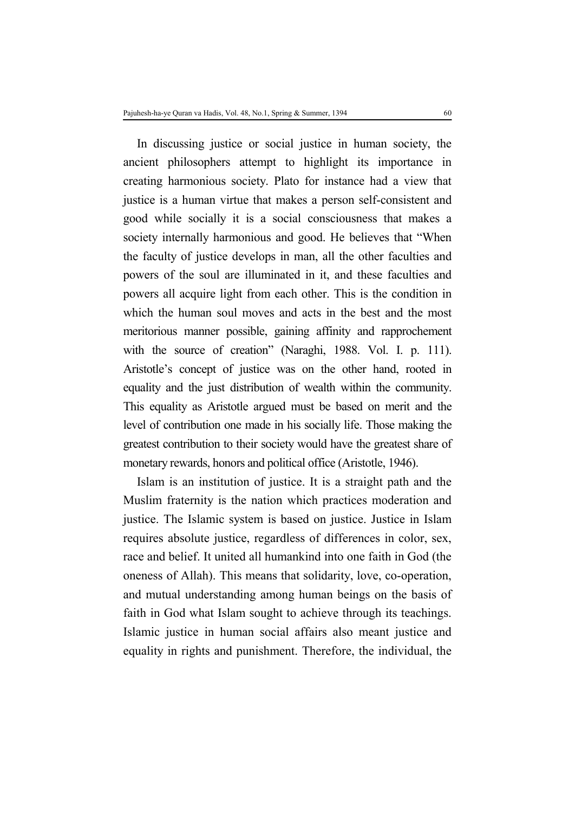In discussing justice or social justice in human society, the ancient philosophers attempt to highlight its importance in creating harmonious society. Plato for instance had a view that justice is a human virtue that makes a person self-consistent and good while socially it is a social consciousness that makes a society internally harmonious and good. He believes that "When the faculty of justice develops in man, all the other faculties and powers of the soul are illuminated in it, and these faculties and powers all acquire light from each other. This is the condition in which the human soul moves and acts in the best and the most meritorious manner possible, gaining affinity and rapprochement with the source of creation" (Naraghi, 1988. Vol. I. p. 111). Aristotle's concept of justice was on the other hand, rooted in equality and the just distribution of wealth within the community. This equality as Aristotle argued must be based on merit and the level of contribution one made in his socially life. Those making the greatest contribution to their society would have the greatest share of monetary rewards, honors and political office (Aristotle, 1946).

Islam is an institution of justice. It is a straight path and the Muslim fraternity is the nation which practices moderation and justice. The Islamic system is based on justice. Justice in Islam requires absolute justice, regardless of differences in color, sex, race and belief. It united all humankind into one faith in God (the oneness of Allah). This means that solidarity, love, co-operation, and mutual understanding among human beings on the basis of faith in God what Islam sought to achieve through its teachings. Islamic justice in human social affairs also meant justice and equality in rights and punishment. Therefore, the individual, the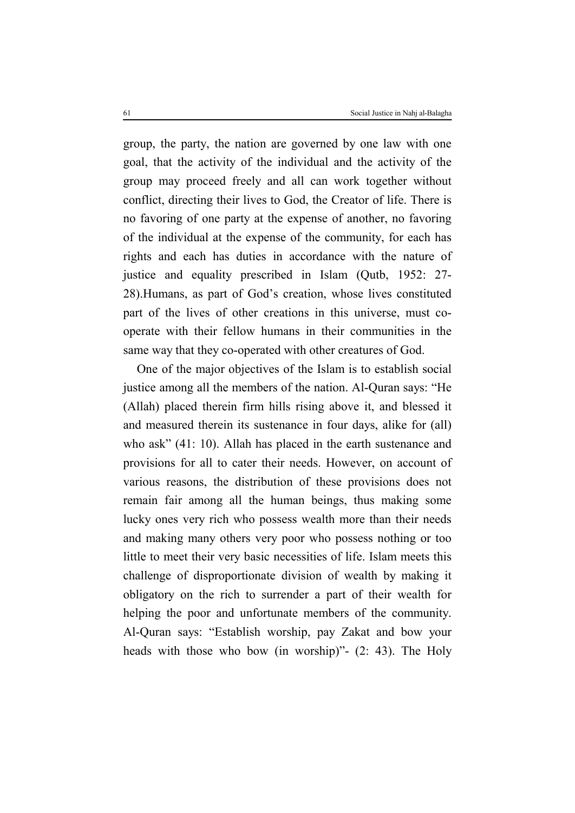group, the party, the nation are governed by one law with one goal, that the activity of the individual and the activity of the group may proceed freely and all can work together without conflict, directing their lives to God, the Creator of life. There is no favoring of one party at the expense of another, no favoring of the individual at the expense of the community, for each has rights and each has duties in accordance with the nature of justice and equality prescribed in Islam (Qutb, 1952: 27- 28).Humans, as part of God's creation, whose lives constituted part of the lives of other creations in this universe, must cooperate with their fellow humans in their communities in the same way that they co-operated with other creatures of God.

One of the major objectives of the Islam is to establish social justice among all the members of the nation. Al-Quran says: "He (Allah) placed therein firm hills rising above it, and blessed it and measured therein its sustenance in four days, alike for (all) who ask" (41: 10). Allah has placed in the earth sustenance and provisions for all to cater their needs. However, on account of various reasons, the distribution of these provisions does not remain fair among all the human beings, thus making some lucky ones very rich who possess wealth more than their needs and making many others very poor who possess nothing or too little to meet their very basic necessities of life. Islam meets this challenge of disproportionate division of wealth by making it obligatory on the rich to surrender a part of their wealth for helping the poor and unfortunate members of the community. Al-Quran says: "Establish worship, pay Zakat and bow your heads with those who bow (in worship)" - (2: 43). The Holy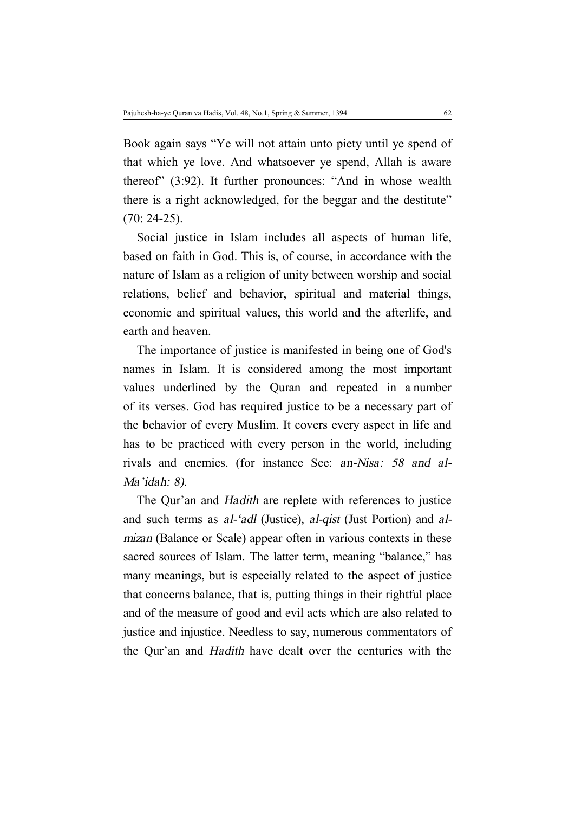Book again says "Ye will not attain unto piety until ye spend of that which ye love. And whatsoever ye spend, Allah is aware thereof" (3:92). It further pronounces: "And in whose wealth there is a right acknowledged, for the beggar and the destitute" (70: 24-25).

Social justice in Islam includes all aspects of human life, based on faith in God. This is, of course, in accordance with the nature of Islam as a religion of unity between worship and social relations, belief and behavior, spiritual and material things, economic and spiritual values, this world and the afterlife, and earth and heaven.

The importance of justice is manifested in being one of God's names in Islam. It is considered among the most important values underlined by the Quran and repeated in a number of its verses. God has required justice to be a necessary part of the behavior of every Muslim. It covers every aspect in life and has to be practiced with every person in the world, including rivals and enemies. (for instance See: *an-Nisa: <sup>58</sup> and al-Ma'idah: 8).*

The Qur'an and *Hadith* are replete with references to justice and such terms as *al-'adl* (Justice), *al-qist* (Just Portion) and *almizan* (Balance or Scale) appear often in various contexts in these sacred sources of Islam. The latter term, meaning "balance," has many meanings, but is especially related to the aspect of justice that concerns balance, that is, putting things in their rightful place and of the measure of good and evil acts which are also related to justice and injustice. Needless to say, numerous commentators of the Qur'an and *Hadith* have dealt over the centuries with the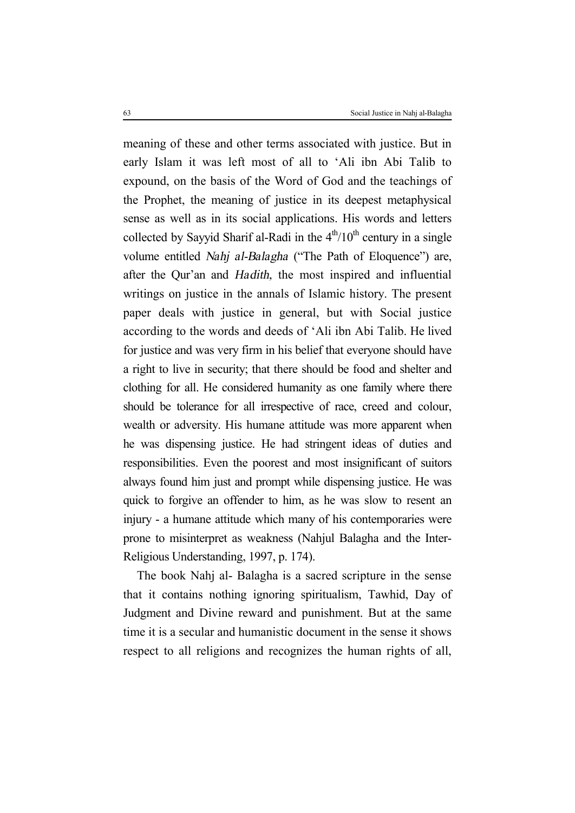meaning of these and other terms associated with justice. But in early Islam it was left most of all to 'Ali ibn Abi Talib to expound, on the basis of the Word of God and the teachings of the Prophet, the meaning of justice in its deepest metaphysical sense as well as in its social applications. His words and letters collected by Sayyid Sharif al-Radi in the  $4<sup>th</sup>/10<sup>th</sup>$  century in a single volume entitled *Nahj al-Balagha* ("The Path of Eloquence") are, after the Qur'an and *Hadith,* the most inspired and influential writings on justice in the annals of Islamic history. The present paper deals with justice in general, but with Social justice according to the words and deeds of 'Ali ibn Abi Talib. He lived for justice and was very firm in his belief that everyone should have a right to live in security; that there should be food and shelter and clothing for all. He considered humanity as one family where there should be tolerance for all irrespective of race, creed and colour, wealth or adversity. His humane attitude was more apparent when he was dispensing justice. He had stringent ideas of duties and responsibilities. Even the poorest and most insignificant of suitors always found him just and prompt while dispensing justice. He was quick to forgive an offender to him, as he was slow to resent an injury - a humane attitude which many of his contemporaries were prone to misinterpret as weakness (Nahjul Balagha and the Inter-Religious Understanding, 1997, p. 174).

The book Nahj al- Balagha is a sacred scripture in the sense that it contains nothing ignoring spiritualism, Tawhid, Day of Judgment and Divine reward and punishment. But at the same time it is a secular and humanistic document in the sense it shows respect to all religions and recognizes the human rights of all,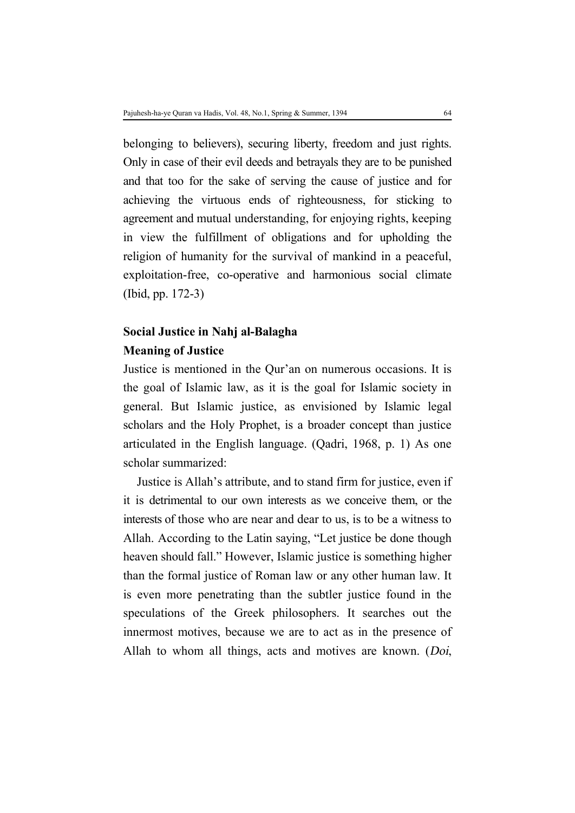belonging to believers), securing liberty, freedom and just rights. Only in case of their evil deeds and betrayals they are to be punished and that too for the sake of serving the cause of justice and for achieving the virtuous ends of righteousness, for sticking to agreement and mutual understanding, for enjoying rights, keeping in view the fulfillment of obligations and for upholding the religion of humanity for the survival of mankind in a peaceful, exploitation-free, co-operative and harmonious social climate (Ibid, pp. 172-3)

## **Social Justice in Nahj al-Balagha Meaning of Justice**

Justice is mentioned in the Qur'an on numerous occasions. It is the goal of Islamic law, as it is the goal for Islamic society in general. But Islamic justice, as envisioned by Islamic legal scholars and the Holy Prophet, is a broader concept than justice articulated in the English language. (Qadri, 1968, p. 1) As one scholar summarized:

Justice is Allah's attribute, and to stand firm for justice, even if it is detrimental to our own interests as we conceive them, or the interests of those who are near and dear to us, is to be a witness to Allah. According to the Latin saying, "Let justice be done though heaven should fall." However, Islamic justice is something higher than the formal justice of Roman law or any other human law. It is even more penetrating than the subtler justice found in the speculations of the Greek philosophers. It searches out the innermost motives, because we are to act as in the presence of Allah to whom all things, acts and motives are known. (*Doi*,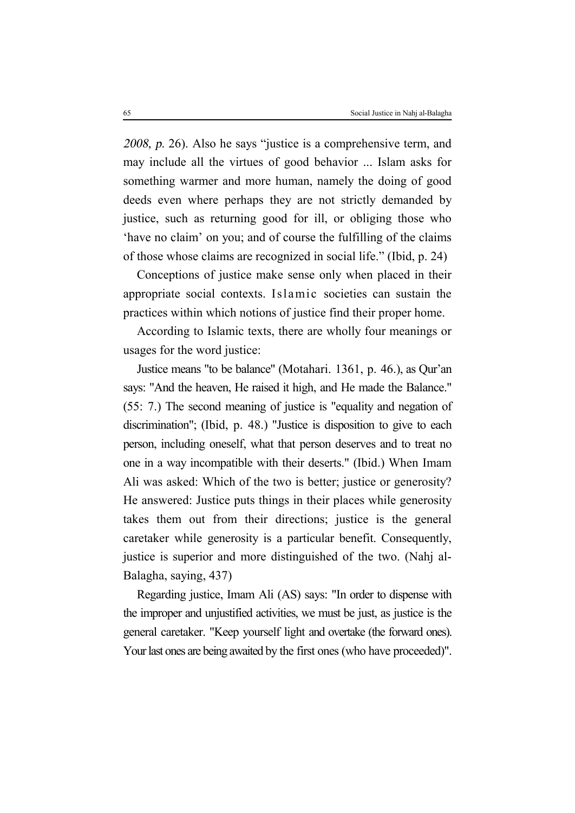*2008, p.* 26). Also he says "justice is a comprehensive term, and may include all the virtues of good behavior ... Islam asks for something warmer and more human, namely the doing of good deeds even where perhaps they are not strictly demanded by justice, such as returning good for ill, or obliging those who 'have no claim' on you; and of course the fulfilling of the claims of those whose claims are recognized in social life." (Ibid, p. 24)

Conceptions of justice make sense only when placed in their appropriate social contexts. Islamic societies can sustain the practices within which notions of justice find their proper home.

According to Islamic texts, there are wholly four meanings or usages for the word justice:

Justice means "to be balance" (Motahari. 1361, p. 46.), as Qur'an says: "And the heaven, He raised it high, and He made the Balance." (55: 7.) The second meaning of justice is "equality and negation of discrimination"; (Ibid, p. 48.) "Justice is disposition to give to each person, including oneself, what that person deserves and to treat no one in a way incompatible with their deserts." (Ibid.) When Imam Ali was asked: Which of the two is better; justice or generosity? He answered: Justice puts things in their places while generosity takes them out from their directions; justice is the general caretaker while generosity is a particular benefit. Consequently, justice is superior and more distinguished of the two. (Nahj al-Balagha, saying, 437)

Regarding justice, Imam Ali (AS) says: "In order to dispense with the improper and unjustified activities, we must be just, as justice is the general caretaker. "Keep yourself light and overtake (the forward ones). Your last ones are being awaited by the first ones (who have proceeded)".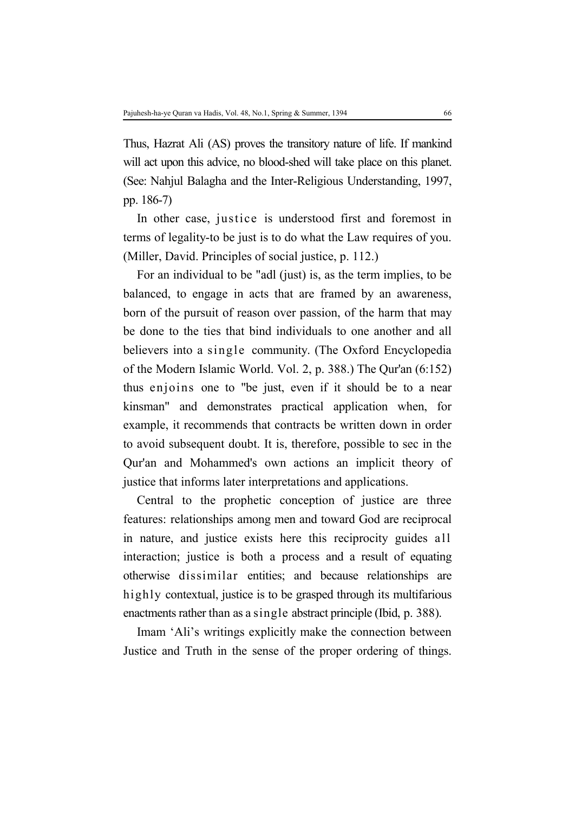Thus, Hazrat Ali (AS) proves the transitory nature of life. If mankind will act upon this advice, no blood-shed will take place on this planet. (See: Nahjul Balagha and the Inter-Religious Understanding, 1997, pp. 186-7)

In other case, justice is understood first and foremost in terms of legality-to be just is to do what the Law requires of you. (Miller, David. Principles of social justice, p. 112.)

For an individual to be "adl (just) is, as the term implies, to be balanced, to engage in acts that are framed by an awareness, born of the pursuit of reason over passion, of the harm that may be done to the ties that bind individuals to one another and all believers into a single community. (The Oxford Encyclopedia of the Modern Islamic World. Vol. 2, p. 388.) The Qur'an (6:152) thus enjoins one to "be just, even if it should be to a near kinsman" and demonstrates practical application when, for example, it recommends that contracts be written down in order to avoid subsequent doubt. It is, therefore, possible to sec in the Qur'an and Mohammed's own actions an implicit theory of justice that informs later interpretations and applications.

Central to the prophetic conception of justice are three features: relationships among men and toward God are reciprocal in nature, and justice exists here this reciprocity guides all interaction; justice is both a process and a result of equating otherwise dissimilar entities; and because relationships are highly contextual, justice is to be grasped through its multifarious enactments rather than as a single abstract principle (Ibid, p. 388).

Imam 'Ali's writings explicitly make the connection between Justice and Truth in the sense of the proper ordering of things.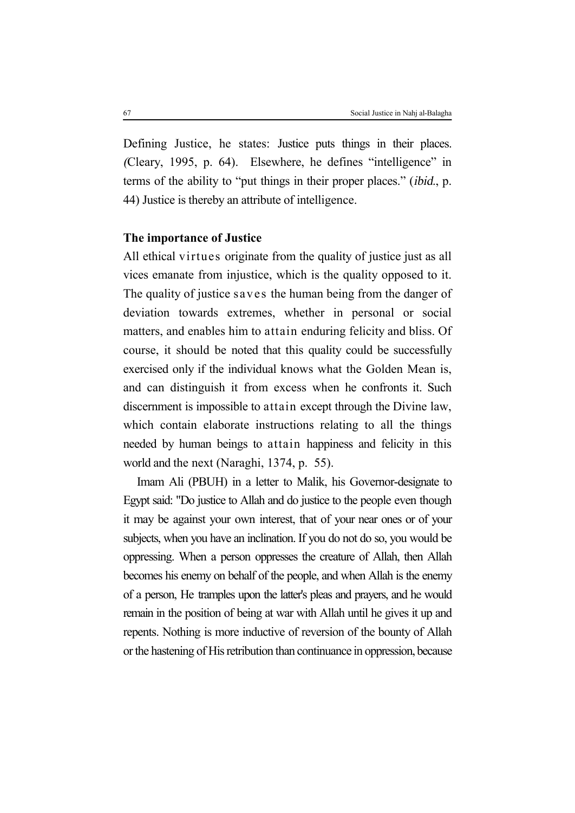Defining Justice, he states: Justice puts things in their places. *(*Cleary, 1995, p. 64). Elsewhere, he defines "intelligence" in terms of the ability to "put things in their proper places." (*ibid.*, p. 44) Justice is thereby an attribute of intelligence.

## **The importance of Justice**

All ethical virtues originate from the quality of justice just as all vices emanate from injustice, which is the quality opposed to it. The quality of justice saves the human being from the danger of deviation towards extremes, whether in personal or social matters, and enables him to attain enduring felicity and bliss. Of course, it should be noted that this quality could be successfully exercised only if the individual knows what the Golden Mean is, and can distinguish it from excess when he confronts it. Such discernment is impossible to attain except through the Divine law, which contain elaborate instructions relating to all the things needed by human beings to attain happiness and felicity in this world and the next (Naraghi, 1374, p. 55).

Imam Ali (PBUH) in a letter to Malik, his Governor-designate to Egypt said: "Do justice to Allah and do justice to the people even though it may be against your own interest, that of your near ones or of your subjects, when you have an inclination. If you do not do so, you would be oppressing. When a person oppresses the creature of Allah, then Allah becomes his enemy on behalf of the people, and when Allah is the enemy of a person, He tramples upon the latter's pleas and prayers, and he would remain in the position of being at war with Allah until he gives it up and repents. Nothing is more inductive of reversion of the bounty of Allah or the hastening of His retribution than continuance in oppression, because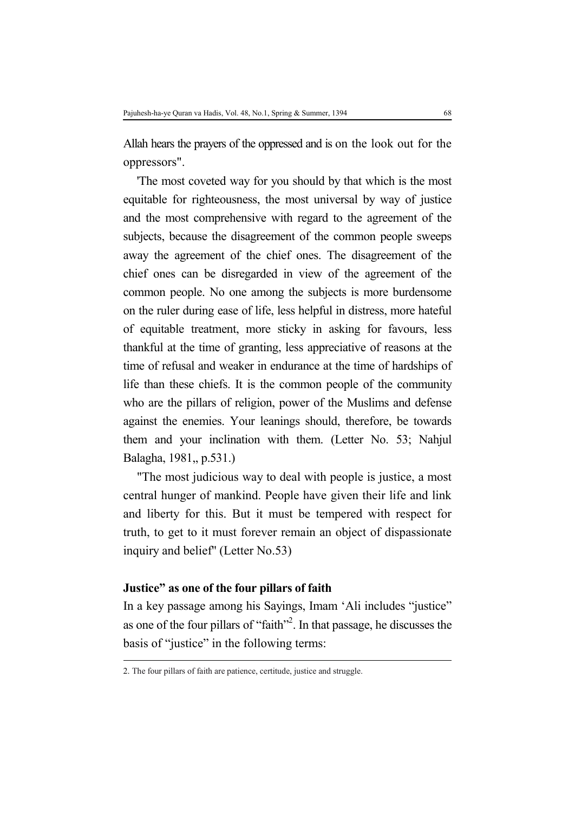Allah hears the prayers of the oppressed and is on the look out for the oppressors".

'The most coveted way for you should by that which is the most equitable for righteousness, the most universal by way of justice and the most comprehensive with regard to the agreement of the subjects, because the disagreement of the common people sweeps away the agreement of the chief ones. The disagreement of the chief ones can be disregarded in view of the agreement of the common people. No one among the subjects is more burdensome on the ruler during ease of life, less helpful in distress, more hateful of equitable treatment, more sticky in asking for favours, less thankful at the time of granting, less appreciative of reasons at the time of refusal and weaker in endurance at the time of hardships of life than these chiefs. It is the common people of the community who are the pillars of religion, power of the Muslims and defense against the enemies. Your leanings should, therefore, be towards them and your inclination with them. (Letter No. 53; Nahjul Balagha, 1981,, p.531.)

"The most judicious way to deal with people is justice, a most central hunger of mankind. People have given their life and link and liberty for this. But it must be tempered with respect for truth, to get to it must forever remain an object of dispassionate inquiry and belief'' (Letter No.53)

#### **Justice" as one of the four pillars of faith**

l

In a key passage among his Sayings, Imam 'Ali includes "justice" as one of the four pillars of "faith" 2 . In that passage, he discusses the basis of "justice" in the following terms:

<sup>2.</sup> The four pillars of faith are patience, certitude, justice and struggle.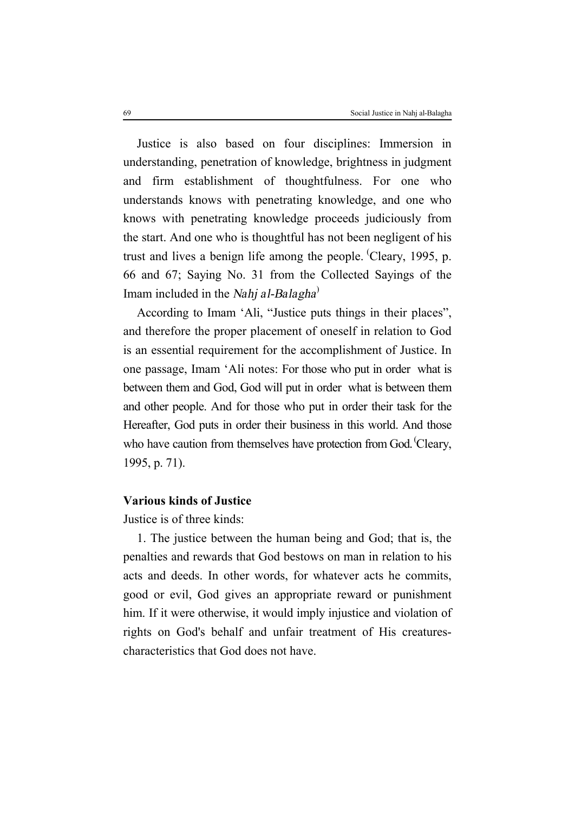Justice is also based on four disciplines: Immersion in understanding, penetration of knowledge, brightness in judgment and firm establishment of thoughtfulness. For one who understands knows with penetrating knowledge, and one who knows with penetrating knowledge proceeds judiciously from the start. And one who is thoughtful has not been negligent of his trust and lives a benign life among the people. (Cleary, 1995, p. 66 and 67; Saying No. 31 from the Collected Sayings of the Imam included in the *Nahj al-Balagha* )

According to Imam 'Ali, "Justice puts things in their places", and therefore the proper placement of oneself in relation to God is an essential requirement for the accomplishment of Justice. In one passage, Imam 'Ali notes: For those who put in order what is between them and God, God will put in order what is between them and other people. And for those who put in order their task for the Hereafter, God puts in order their business in this world. And those who have caution from themselves have protection from God. Cleary, 1995, p. 71).

## **Various kinds of Justice**

Justice is of three kinds:

1. The justice between the human being and God; that is, the penalties and rewards that God bestows on man in relation to his acts and deeds. In other words, for whatever acts he commits, good or evil, God gives an appropriate reward or punishment him. If it were otherwise, it would imply injustice and violation of rights on God's behalf and unfair treatment of His creaturescharacteristics that God does not have.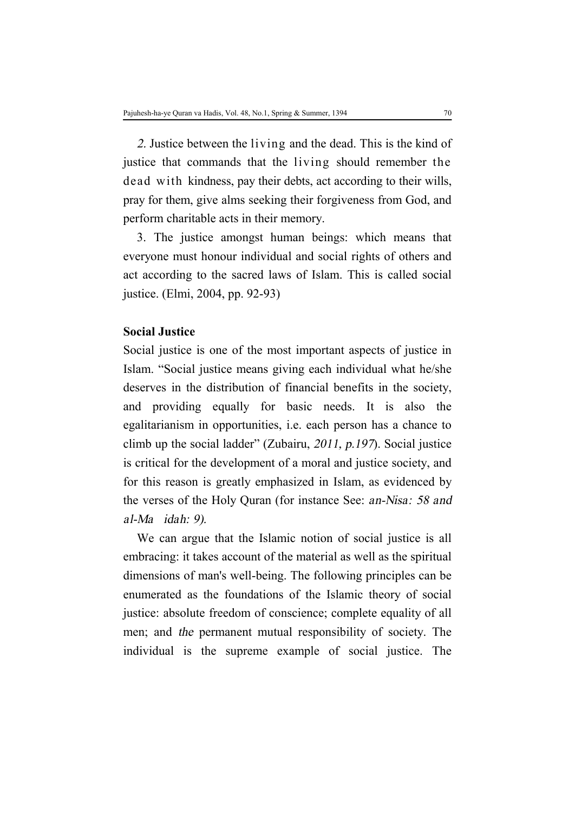*2.* Justice between the living and the dead. This is the kind of justice that commands that the living should remember the dead with kindness, pay their debts, act according to their wills, pray for them, give alms seeking their forgiveness from God, and perform charitable acts in their memory.

3. The justice amongst human beings: which means that everyone must honour individual and social rights of others and act according to the sacred laws of Islam. This is called social justice. (Elmi, 2004, pp. 92-93)

### **Social Justice**

Social justice is one of the most important aspects of justice in Islam. "Social justice means giving each individual what he/she deserves in the distribution of financial benefits in the society, and providing equally for basic needs. It is also the egalitarianism in opportunities, i.e. each person has a chance to climb up the social ladder" (Zubairu, *2011, p.<sup>197</sup>*). Social justice is critical for the development of a moral and justice society, and for this reason is greatly emphasized in Islam, as evidenced by the verses of the Holy Quran (for instance See: *an-Nisa: <sup>58</sup> and al-Ma idah: 9).*

We can argue that the Islamic notion of social justice is all embracing: it takes account of the material as well as the spiritual dimensions of man's well-being. The following principles can be enumerated as the foundations of the Islamic theory of social justice: absolute freedom of conscience; complete equality of all men; and *the* permanent mutual responsibility of society. The individual is the supreme example of social justice. The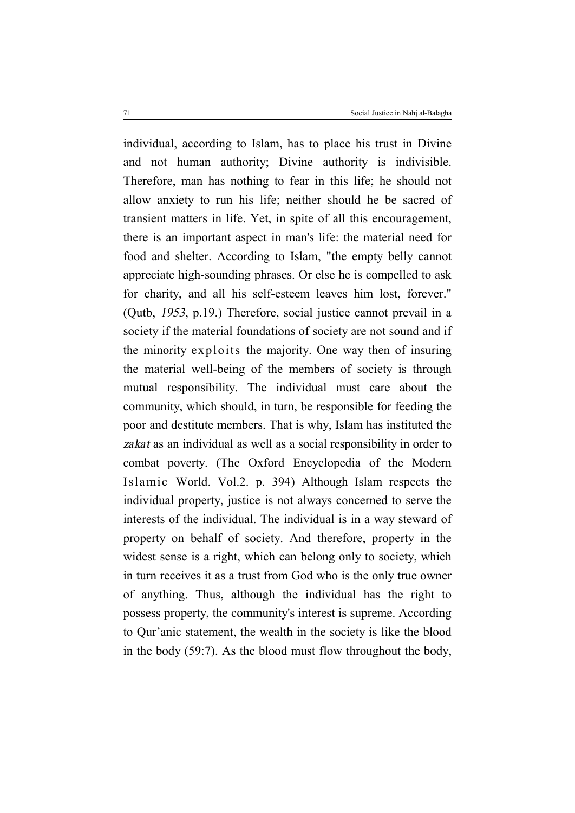individual, according to Islam, has to place his trust in Divine and not human authority; Divine authority is indivisible. Therefore, man has nothing to fear in this life; he should not allow anxiety to run his life; neither should he be sacred of transient matters in life. Yet, in spite of all this encouragement, there is an important aspect in man's life: the material need for food and shelter. According to Islam, "the empty belly cannot appreciate high-sounding phrases. Or else he is compelled to ask for charity, and all his self-esteem leaves him lost, forever." (Qutb, *1953*, p.19.) Therefore, social justice cannot prevail in a society if the material foundations of society are not sound and if the minority exploits the majority. One way then of insuring the material well-being of the members of society is through mutual responsibility. The individual must care about the community, which should, in turn, be responsible for feeding the poor and destitute members. That is why, Islam has instituted the *zakat* as an individual as well as a social responsibility in order to combat poverty. (The Oxford Encyclopedia of the Modern Islamic World. Vol.2. p. 394) Although Islam respects the individual property, justice is not always concerned to serve the interests of the individual. The individual is in a way steward of property on behalf of society. And therefore, property in the widest sense is a right, which can belong only to society, which in turn receives it as a trust from God who is the only true owner of anything. Thus, although the individual has the right to possess property, the community's interest is supreme. According to Qur'anic statement, the wealth in the society is like the blood in the body (59:7). As the blood must flow throughout the body,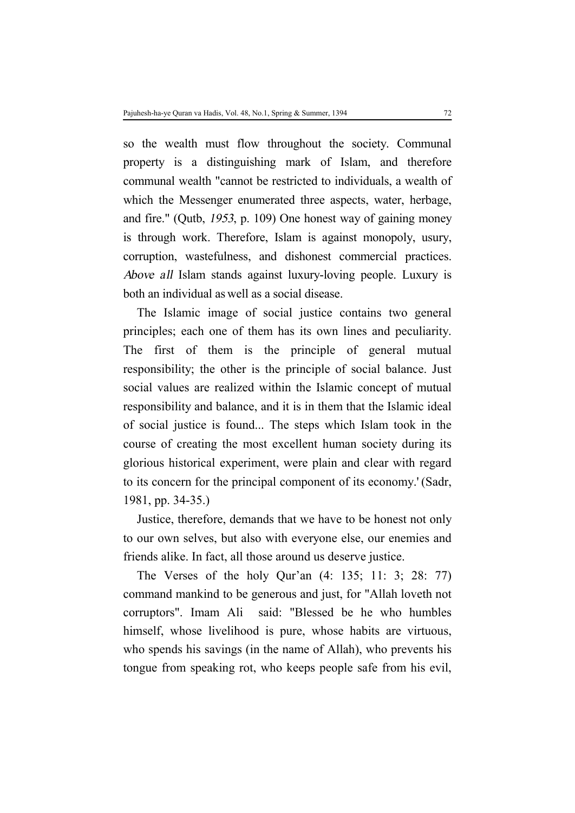so the wealth must flow throughout the society. Communal property is a distinguishing mark of Islam, and therefore communal wealth "cannot be restricted to individuals, a wealth of which the Messenger enumerated three aspects, water, herbage, and fire." (Qutb, *1953*, p. 109) One honest way of gaining money is through work. Therefore, Islam is against monopoly, usury, corruption, wastefulness, and dishonest commercial practices. *Above all* Islam stands against luxury-loving people. Luxury is both an individual as well as a social disease.

The Islamic image of social justice contains two general principles; each one of them has its own lines and peculiarity. The first of them is the principle of general mutual responsibility; the other is the principle of social balance. Just social values are realized within the Islamic concept of mutual responsibility and balance, and it is in them that the Islamic ideal of social justice is found... The steps which Islam took in the course of creating the most excellent human society during its glorious historical experiment, were plain and clear with regard to its concern for the principal component of its economy.' (Sadr, 1981, pp. 34-35.)

Justice, therefore, demands that we have to be honest not only to our own selves, but also with everyone else, our enemies and friends alike. In fact, all those around us deserve justice.

The Verses of the holy Qur'an (4: 135; 11: 3; 28: 77) command mankind to be generous and just, for "Allah loveth not corruptors". Imam Ali said: "Blessed be he who humbles himself, whose livelihood is pure, whose habits are virtuous, who spends his savings (in the name of Allah), who prevents his tongue from speaking rot, who keeps people safe from his evil,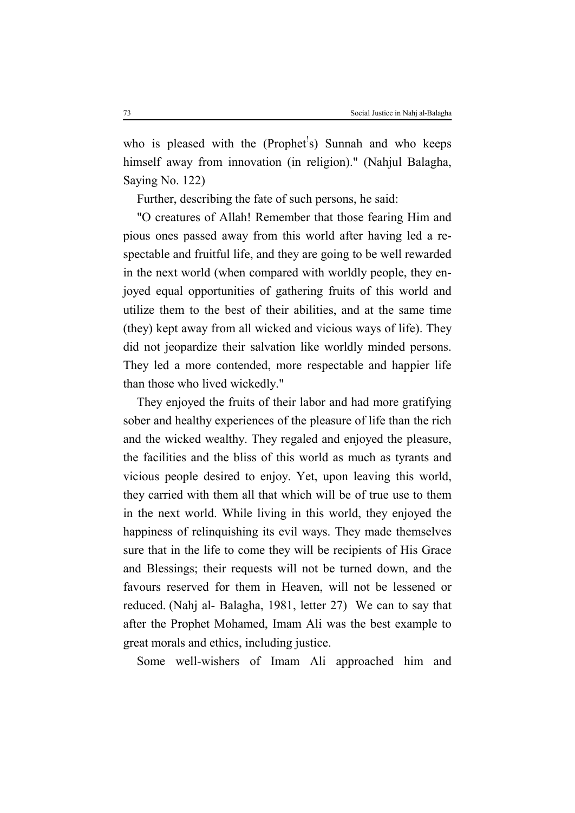who is pleased with the (Prophet's) Sunnah and who keeps himself away from innovation (in religion)." (Nahjul Balagha, Saying No. 122)

Further, describing the fate of such persons, he said:

"O creatures of Allah! Remember that those fearing Him and pious ones passed away from this world after having led a respectable and fruitful life, and they are going to be well rewarded in the next world (when compared with worldly people, they enjoyed equal opportunities of gathering fruits of this world and utilize them to the best of their abilities, and at the same time (they) kept away from all wicked and vicious ways of life). They did not jeopardize their salvation like worldly minded persons. They led a more contended, more respectable and happier life than those who lived wickedly."

They enjoyed the fruits of their labor and had more gratifying sober and healthy experiences of the pleasure of life than the rich and the wicked wealthy. They regaled and enjoyed the pleasure, the facilities and the bliss of this world as much as tyrants and vicious people desired to enjoy. Yet, upon leaving this world, they carried with them all that which will be of true use to them in the next world. While living in this world, they enjoyed the happiness of relinquishing its evil ways. They made themselves sure that in the life to come they will be recipients of His Grace and Blessings; their requests will not be turned down, and the favours reserved for them in Heaven, will not be lessened or reduced. (Nahj al- Balagha, 1981, letter 27) We can to say that after the Prophet Mohamed, Imam Ali was the best example to great morals and ethics, including justice.

Some well-wishers of Imam Ali approached him and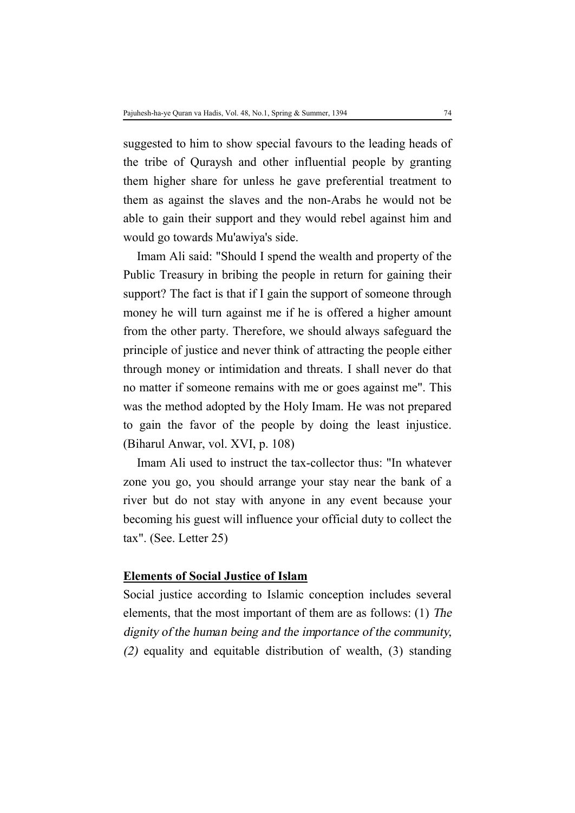suggested to him to show special favours to the leading heads of the tribe of Quraysh and other influential people by granting them higher share for unless he gave preferential treatment to them as against the slaves and the non-Arabs he would not be able to gain their support and they would rebel against him and would go towards Mu'awiya's side.

Imam Ali said: "Should I spend the wealth and property of the Public Treasury in bribing the people in return for gaining their support? The fact is that if I gain the support of someone through money he will turn against me if he is offered a higher amount from the other party. Therefore, we should always safeguard the principle of justice and never think of attracting the people either through money or intimidation and threats. I shall never do that no matter if someone remains with me or goes against me". This was the method adopted by the Holy Imam. He was not prepared to gain the favor of the people by doing the least injustice. (Biharul Anwar, vol. XVI, p. 108)

Imam Ali used to instruct the tax-collector thus: "In whatever zone you go, you should arrange your stay near the bank of a river but do not stay with anyone in any event because your becoming his guest will influence your official duty to collect the tax". (See. Letter 25)

### **Elements of Social Justice of Islam**

Social justice according to Islamic conception includes several elements, that the most important of them are as follows: (1) *The dignity of the human being and the importance of the community, (2)* equality and equitable distribution of wealth, (3) standing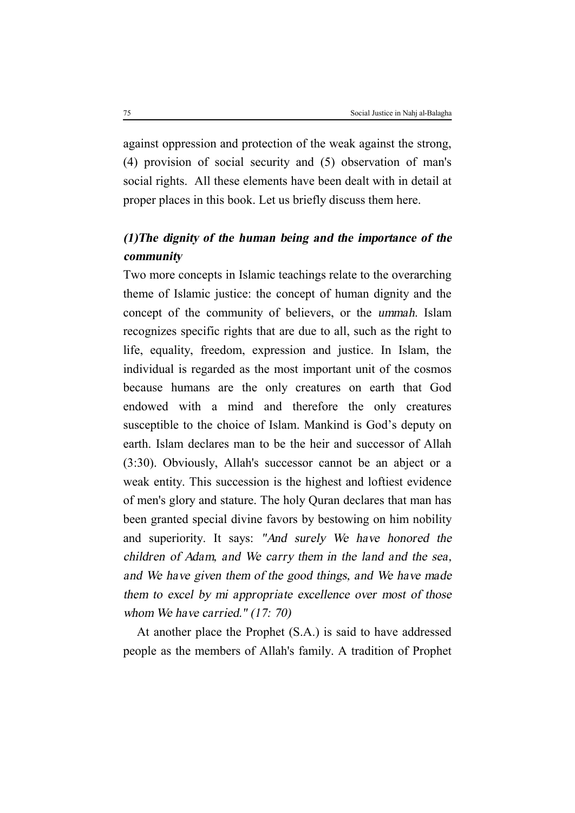against oppression and protection of the weak against the strong, (4) provision of social security and (5) observation of man's social rights. All these elements have been dealt with in detail at proper places in this book. Let us briefly discuss them here.

# *(1)The dignity of the human being and the importance of the community*

Two more concepts in Islamic teachings relate to the overarching theme of Islamic justice: the concept of human dignity and the concept of the community of believers, or the *ummah*. Islam recognizes specific rights that are due to all, such as the right to life, equality, freedom, expression and justice. In Islam, the individual is regarded as the most important unit of the cosmos because humans are the only creatures on earth that God endowed with a mind and therefore the only creatures susceptible to the choice of Islam. Mankind is God's deputy on earth. Islam declares man to be the heir and successor of Allah (3:30). Obviously, Allah's successor cannot be an abject or a weak entity. This succession is the highest and loftiest evidence of men's glory and stature. The holy Quran declares that man has been granted special divine favors by bestowing on him nobility and superiority. It says: *"And surely We have honored the children of Adam, and We carry them in the land and the sea, and We have given them of the good things, and We have made them to excel by mi appropriate excellence over most of those whom We have carried." (17: 70)*

At another place the Prophet (S.A.) is said to have addressed people as the members of Allah's family. A tradition of Prophet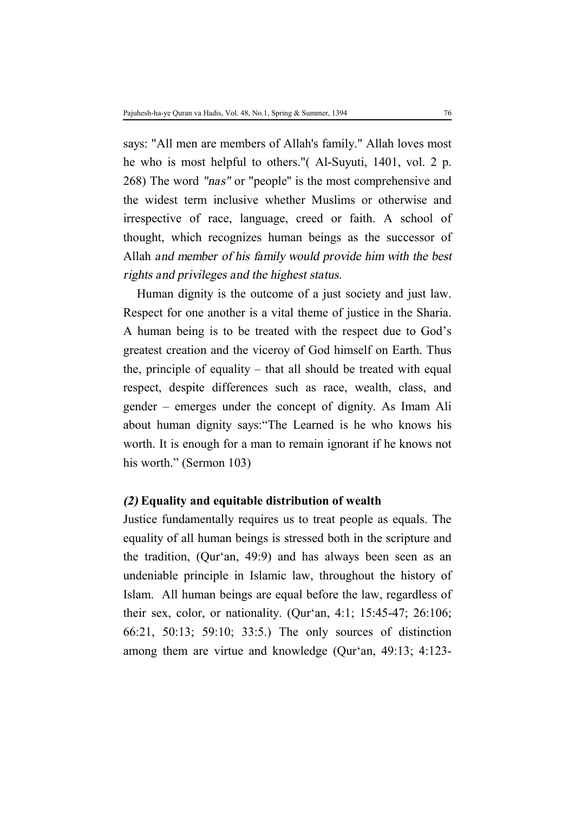says: "All men are members of Allah's family." Allah loves most he who is most helpful to others."( Al-Suyuti, 1401, vol. 2 p. 268) The word *"nas"* or "people'' is the most comprehensive and the widest term inclusive whether Muslims or otherwise and irrespective of race, language, creed or faith. A school of thought, which recognizes human beings as the successor of Allah *and member of his family would provide him with the best rights and privileges and the highest status.* 

Human dignity is the outcome of a just society and just law. Respect for one another is a vital theme of justice in the Sharia. A human being is to be treated with the respect due to God's greatest creation and the viceroy of God himself on Earth. Thus the, principle of equality – that all should be treated with equal respect, despite differences such as race, wealth, class, and gender – emerges under the concept of dignity. As Imam Ali about human dignity says:"The Learned is he who knows his worth. It is enough for a man to remain ignorant if he knows not his worth." (Sermon 103)

### *(2)* **Equality and equitable distribution of wealth**

Justice fundamentally requires us to treat people as equals. The equality of all human beings is stressed both in the scripture and the tradition, (Qur'an, 49:9) and has always been seen as an undeniable principle in Islamic law, throughout the history of Islam. All human beings are equal before the law, regardless of their sex, color, or nationality. (Qur'an, 4:1; 15:45-47; 26:106; 66:21, 50:13; 59:10; 33:5.) The only sources of distinction among them are virtue and knowledge (Qur'an, 49:13; 4:123-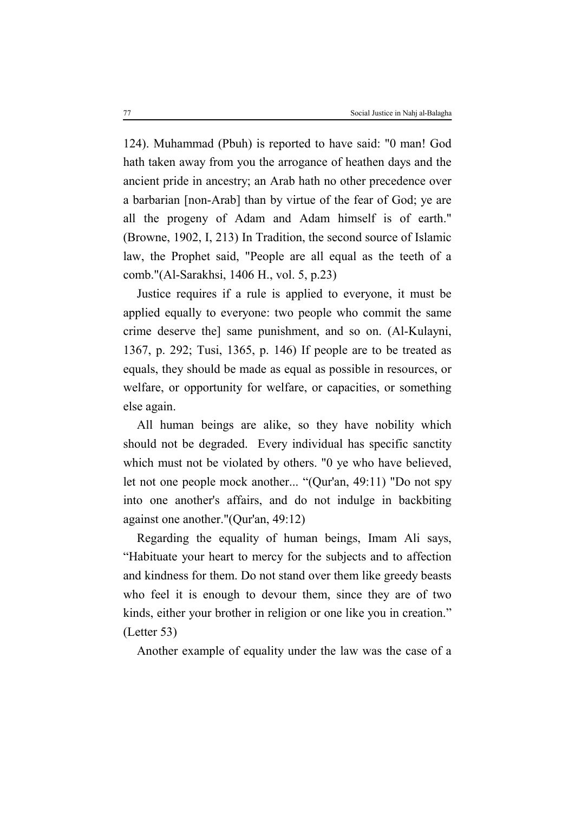124). Muhammad (Pbuh) is reported to have said: "0 man! God hath taken away from you the arrogance of heathen days and the ancient pride in ancestry; an Arab hath no other precedence over a barbarian [non-Arab] than by virtue of the fear of God; ye are all the progeny of Adam and Adam himself is of earth." (Browne, 1902, I, 213) In Tradition, the second source of Islamic law, the Prophet said, "People are all equal as the teeth of a comb."(Al-Sarakhsi, 1406 H., vol. 5, p.23)

Justice requires if a rule is applied to everyone, it must be applied equally to everyone: two people who commit the same crime deserve the] same punishment, and so on. (Al-Kulayni, 1367, p. 292; Tusi, 1365, p. 146) If people are to be treated as equals, they should be made as equal as possible in resources, or welfare, or opportunity for welfare, or capacities, or something else again.

All human beings are alike, so they have nobility which should not be degraded. Every individual has specific sanctity which must not be violated by others. "0 ye who have believed, let not one people mock another... "(Qur'an, 49:11) "Do not spy into one another's affairs, and do not indulge in backbiting against one another."(Qur'an, 49:12)

Regarding the equality of human beings, Imam Ali says, "Habituate your heart to mercy for the subjects and to affection and kindness for them. Do not stand over them like greedy beasts who feel it is enough to devour them, since they are of two kinds, either your brother in religion or one like you in creation." (Letter 53)

Another example of equality under the law was the case of a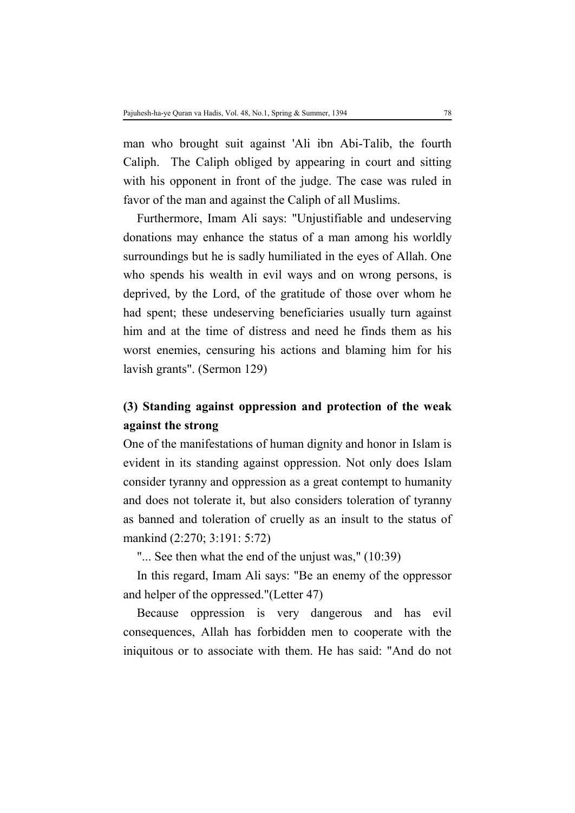man who brought suit against 'Ali ibn Abi-Talib, the fourth Caliph. The Caliph obliged by appearing in court and sitting with his opponent in front of the judge. The case was ruled in favor of the man and against the Caliph of all Muslims.

Furthermore, Imam Ali says: "Unjustifiable and undeserving donations may enhance the status of a man among his worldly surroundings but he is sadly humiliated in the eyes of Allah. One who spends his wealth in evil ways and on wrong persons, is deprived, by the Lord, of the gratitude of those over whom he had spent; these undeserving beneficiaries usually turn against him and at the time of distress and need he finds them as his worst enemies, censuring his actions and blaming him for his lavish grants". (Sermon 129)

# **(3) Standing against oppression and protection of the weak against the strong**

One of the manifestations of human dignity and honor in Islam is evident in its standing against oppression. Not only does Islam consider tyranny and oppression as a great contempt to humanity and does not tolerate it, but also considers toleration of tyranny as banned and toleration of cruelly as an insult to the status of mankind (2:270; 3:191: 5:72)

"... See then what the end of the unjust was," (10:39)

In this regard, Imam Ali says: "Be an enemy of the oppressor and helper of the oppressed."(Letter 47)

Because oppression is very dangerous and has evil consequences, Allah has forbidden men to cooperate with the iniquitous or to associate with them. He has said: "And do not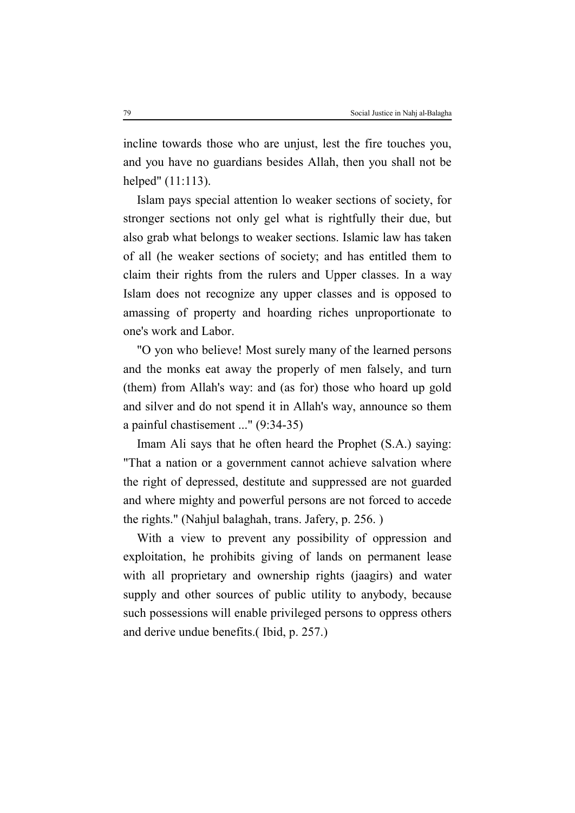incline towards those who are unjust, lest the fire touches you, and you have no guardians besides Allah, then you shall not be helped" (11:113).

Islam pays special attention lo weaker sections of society, for stronger sections not only gel what is rightfully their due, but also grab what belongs to weaker sections. Islamic law has taken of all (he weaker sections of society; and has entitled them to claim their rights from the rulers and Upper classes. In a way Islam does not recognize any upper classes and is opposed to amassing of property and hoarding riches unproportionate to one's work and Labor.

"O yon who believe! Most surely many of the learned persons and the monks eat away the properly of men falsely, and turn (them) from Allah's way: and (as for) those who hoard up gold and silver and do not spend it in Allah's way, announce so them a painful chastisement ..." (9:34-35)

Imam Ali says that he often heard the Prophet (S.A.) saying: "That a nation or a government cannot achieve salvation where the right of depressed, destitute and suppressed are not guarded and where mighty and powerful persons are not forced to accede the rights." (Nahjul balaghah, trans. Jafery, p. 256. )

With a view to prevent any possibility of oppression and exploitation, he prohibits giving of lands on permanent lease with all proprietary and ownership rights (jaagirs) and water supply and other sources of public utility to anybody, because such possessions will enable privileged persons to oppress others and derive undue benefits.( Ibid, p. 257.)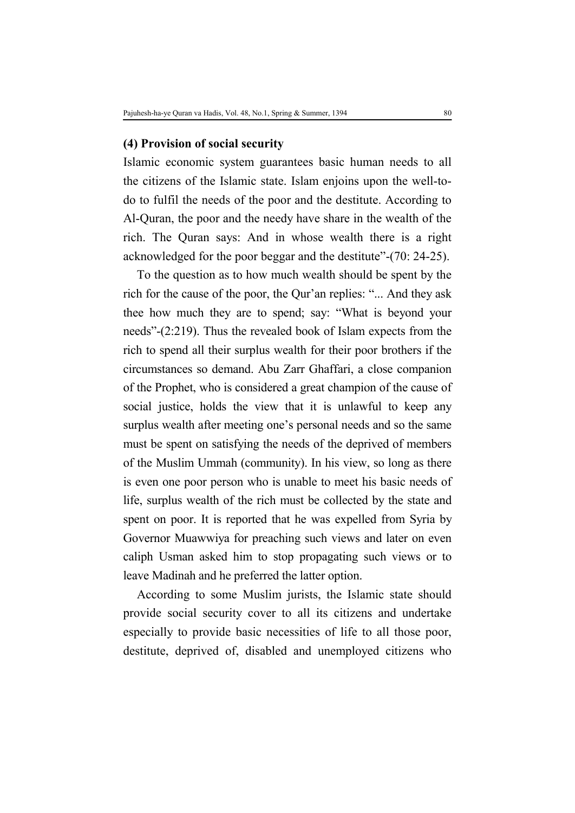### **(4) Provision of social security**

Islamic economic system guarantees basic human needs to all the citizens of the Islamic state. Islam enjoins upon the well-todo to fulfil the needs of the poor and the destitute. According to Al-Quran, the poor and the needy have share in the wealth of the rich. The Quran says: And in whose wealth there is a right acknowledged for the poor beggar and the destitute"-(70: 24-25).

To the question as to how much wealth should be spent by the rich for the cause of the poor, the Qur'an replies: "... And they ask thee how much they are to spend; say: "What is beyond your needs"-(2:219). Thus the revealed book of Islam expects from the rich to spend all their surplus wealth for their poor brothers if the circumstances so demand. Abu Zarr Ghaffari, a close companion of the Prophet, who is considered a great champion of the cause of social justice, holds the view that it is unlawful to keep any surplus wealth after meeting one's personal needs and so the same must be spent on satisfying the needs of the deprived of members of the Muslim Ummah (community). In his view, so long as there is even one poor person who is unable to meet his basic needs of life, surplus wealth of the rich must be collected by the state and spent on poor. It is reported that he was expelled from Syria by Governor Muawwiya for preaching such views and later on even caliph Usman asked him to stop propagating such views or to leave Madinah and he preferred the latter option.

According to some Muslim jurists, the Islamic state should provide social security cover to all its citizens and undertake especially to provide basic necessities of life to all those poor, destitute, deprived of, disabled and unemployed citizens who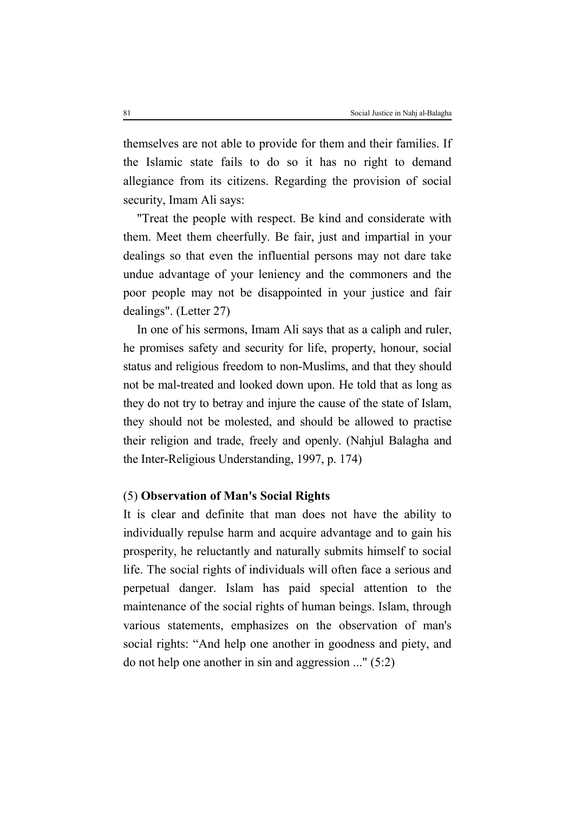themselves are not able to provide for them and their families. If the Islamic state fails to do so it has no right to demand allegiance from its citizens. Regarding the provision of social security, Imam Ali says:

"Treat the people with respect. Be kind and considerate with them. Meet them cheerfully. Be fair, just and impartial in your dealings so that even the influential persons may not dare take undue advantage of your leniency and the commoners and the poor people may not be disappointed in your justice and fair dealings". (Letter 27)

In one of his sermons, Imam Ali says that as a caliph and ruler, he promises safety and security for life, property, honour, social status and religious freedom to non-Muslims, and that they should not be mal-treated and looked down upon. He told that as long as they do not try to betray and injure the cause of the state of Islam, they should not be molested, and should be allowed to practise their religion and trade, freely and openly. (Nahjul Balagha and the Inter-Religious Understanding, 1997, p. 174)

## (5) **Observation of Man's Social Rights**

It is clear and definite that man does not have the ability to individually repulse harm and acquire advantage and to gain his prosperity, he reluctantly and naturally submits himself to social life. The social rights of individuals will often face a serious and perpetual danger. Islam has paid special attention to the maintenance of the social rights of human beings. Islam, through various statements, emphasizes on the observation of man's social rights: "And help one another in goodness and piety, and do not help one another in sin and aggression ..." (5:2)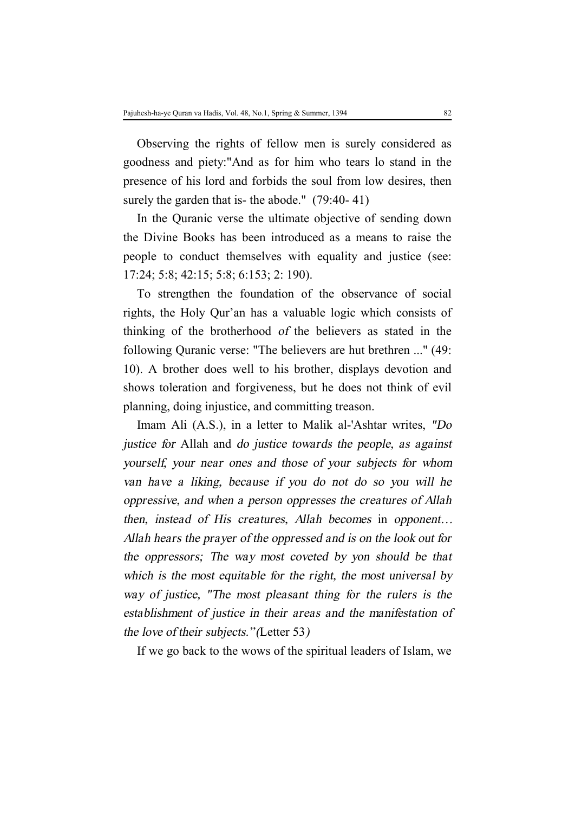Observing the rights of fellow men is surely considered as goodness and piety:"And as for him who tears lo stand in the presence of his lord and forbids the soul from low desires, then surely the garden that is- the abode." (79:40-41)

In the Quranic verse the ultimate objective of sending down the Divine Books has been introduced as a means to raise the people to conduct themselves with equality and justice (see: 17:24; 5:8; 42:15; 5:8; 6:153; 2: 190).

To strengthen the foundation of the observance of social rights, the Holy Qur'an has a valuable logic which consists of thinking of the brotherhood *of* the believers as stated in the following Quranic verse: "The believers are hut brethren ..." (49: 10). A brother does well to his brother, displays devotion and shows toleration and forgiveness, but he does not think of evil planning, doing injustice, and committing treason.

Imam Ali (A.S.), in a letter to Malik al-'Ashtar writes, *"Do justice for* Allah and *do justice towards the people, as against yourself, your near ones and those of your subjects for whom van have <sup>a</sup> liking, because if you do not do so you will he oppressive, and when <sup>a</sup> person oppresses the creatures of Allah then, instead of His creatures, Allah becomes* in *opponent… Allah hears the prayer of the oppressed and is on the look out for the oppressors; The way most coveted by yon should be that which is the most equitable for the right, the most universal by way of justice, "The most pleasant thing for the rulers is the establishment of justice in their areas and the manifestation of the love of their subjects." (*Letter 53*)*

If we go back to the wows of the spiritual leaders of Islam, we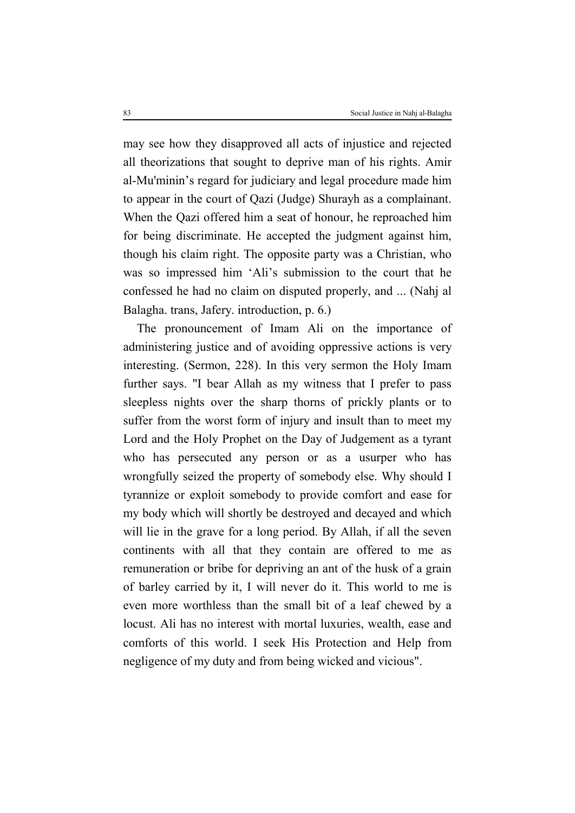may see how they disapproved all acts of injustice and rejected all theorizations that sought to deprive man of his rights. Amir al-Mu'minin's regard for judiciary and legal procedure made him to appear in the court of Qazi (Judge) Shurayh as a complainant. When the Qazi offered him a seat of honour, he reproached him for being discriminate. He accepted the judgment against him, though his claim right. The opposite party was a Christian, who was so impressed him 'Ali's submission to the court that he confessed he had no claim on disputed properly, and ... (Nahj al Balagha. trans, Jafery. introduction, p. 6.)

The pronouncement of Imam Ali on the importance of administering justice and of avoiding oppressive actions is very interesting. (Sermon, 228). In this very sermon the Holy Imam further says. "I bear Allah as my witness that I prefer to pass sleepless nights over the sharp thorns of prickly plants or to suffer from the worst form of injury and insult than to meet my Lord and the Holy Prophet on the Day of Judgement as a tyrant who has persecuted any person or as a usurper who has wrongfully seized the property of somebody else. Why should I tyrannize or exploit somebody to provide comfort and ease for my body which will shortly be destroyed and decayed and which will lie in the grave for a long period. By Allah, if all the seven continents with all that they contain are offered to me as remuneration or bribe for depriving an ant of the husk of a grain of barley carried by it, I will never do it. This world to me is even more worthless than the small bit of a leaf chewed by a locust. Ali has no interest with mortal luxuries, wealth, ease and comforts of this world. I seek His Protection and Help from negligence of my duty and from being wicked and vicious".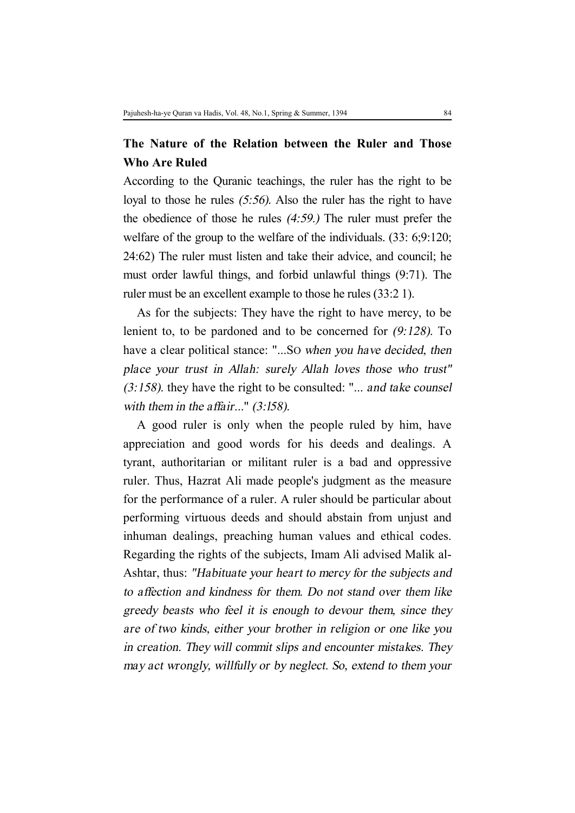## **The Nature of the Relation between the Ruler and Those Who Are Ruled**

According to the Quranic teachings, the ruler has the right to be loyal to those he rules *(5:56).* Also the ruler has the right to have the obedience of those he rules *(4:59.)* The ruler must prefer the welfare of the group to the welfare of the individuals. (33: 6;9:120; 24:62) The ruler must listen and take their advice, and council; he must order lawful things, and forbid unlawful things (9:71). The ruler must be an excellent example to those he rules (33:2 1).

As for the subjects: They have the right to have mercy, to be lenient to, to be pardoned and to be concerned for *(9:128).* To have a clear political stance: "...SO *when you have decided, then place your trust in Allah: surely Allah loves those who trust" (3:158).* they have the right to be consulted: "... *and take counsel with them in the affair...*" *(3:l58).*

A good ruler is only when the people ruled by him, have appreciation and good words for his deeds and dealings. A tyrant, authoritarian or militant ruler is a bad and oppressive ruler. Thus, Hazrat Ali made people's judgment as the measure for the performance of a ruler. A ruler should be particular about performing virtuous deeds and should abstain from unjust and inhuman dealings, preaching human values and ethical codes. Regarding the rights of the subjects, Imam Ali advised Malik al-Ashtar, thus: *"Habituate your heart to mercy for the subjects and to affection and kindness for them. Do not stand over them like greedy beasts who feel it is enough to devour them, since they are of two kinds, either your brother in religion or one like you in creation. They will commit slips and encounter mistakes. They may act wrongly, willfully or by neglect. So, extend to them your*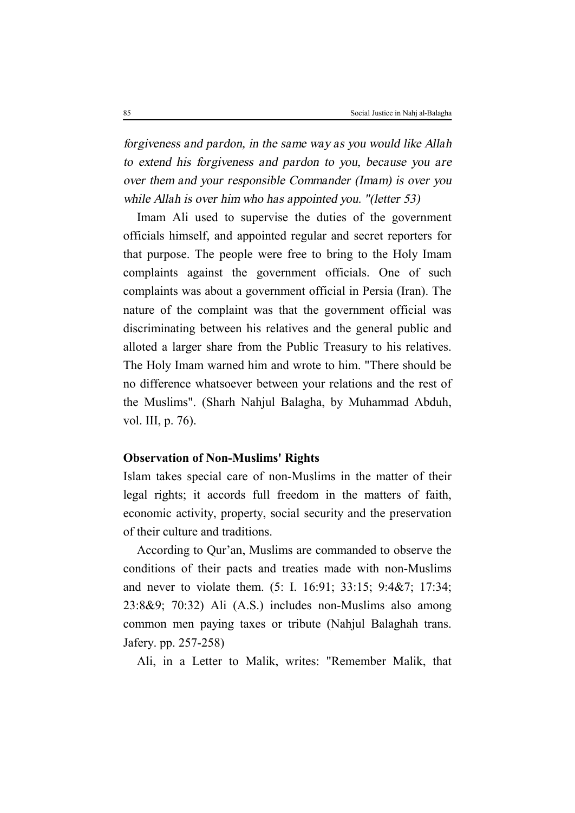*forgiveness and pardon, in the same way as you would like Allah to extend his forgiveness and pardon to you, because you are over them and your responsible Commander (Imam) is over you while Allah is over him who has appointed you. "(letter 53)*

Imam Ali used to supervise the duties of the government officials himself, and appointed regular and secret reporters for that purpose. The people were free to bring to the Holy Imam complaints against the government officials. One of such complaints was about a government official in Persia (Iran). The nature of the complaint was that the government official was discriminating between his relatives and the general public and alloted a larger share from the Public Treasury to his relatives. The Holy Imam warned him and wrote to him. "There should be no difference whatsoever between your relations and the rest of the Muslims". (Sharh Nahjul Balagha, by Muhammad Abduh, vol. III, p. 76).

### **Observation of Non-Muslims' Rights**

Islam takes special care of non-Muslims in the matter of their legal rights; it accords full freedom in the matters of faith, economic activity, property, social security and the preservation of their culture and traditions.

According to Qur'an, Muslims are commanded to observe the conditions of their pacts and treaties made with non-Muslims and never to violate them. (5: I. 16:91; 33:15; 9:4&7; 17:34; 23:8&9; 70:32) Ali (A.S.) includes non-Muslims also among common men paying taxes or tribute (Nahjul Balaghah trans. Jafery. pp. 257-258)

Ali, in a Letter to Malik, writes: "Remember Malik, that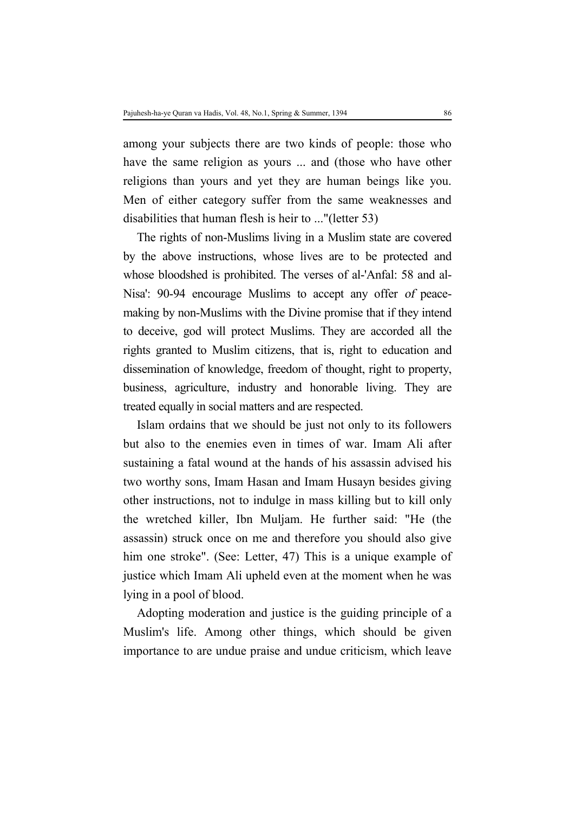among your subjects there are two kinds of people: those who have the same religion as yours ... and (those who have other religions than yours and yet they are human beings like you. Men of either category suffer from the same weaknesses and disabilities that human flesh is heir to ..."(letter 53)

The rights of non-Muslims living in a Muslim state are covered by the above instructions, whose lives are to be protected and whose bloodshed is prohibited. The verses of al-'Anfal: 58 and al-Nisa': 90-94 encourage Muslims to accept any offer *of* peacemaking by non-Muslims with the Divine promise that if they intend to deceive, god will protect Muslims. They are accorded all the rights granted to Muslim citizens, that is, right to education and dissemination of knowledge, freedom of thought, right to property, business, agriculture, industry and honorable living. They are treated equally in social matters and are respected.

Islam ordains that we should be just not only to its followers but also to the enemies even in times of war. Imam Ali after sustaining a fatal wound at the hands of his assassin advised his two worthy sons, Imam Hasan and Imam Husayn besides giving other instructions, not to indulge in mass killing but to kill only the wretched killer, Ibn Muljam. He further said: "He (the assassin) struck once on me and therefore you should also give him one stroke". (See: Letter, 47) This is a unique example of justice which Imam Ali upheld even at the moment when he was lying in a pool of blood.

Adopting moderation and justice is the guiding principle of a Muslim's life. Among other things, which should be given importance to are undue praise and undue criticism, which leave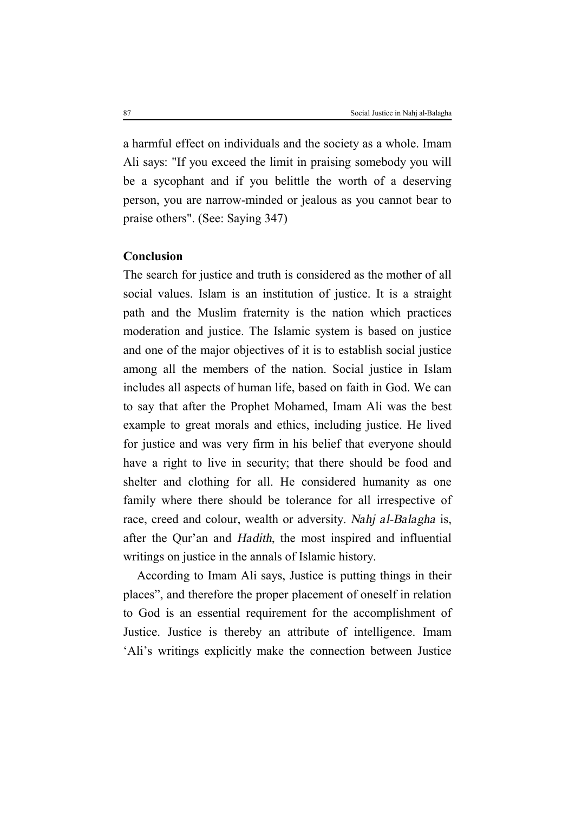a harmful effect on individuals and the society as a whole. Imam Ali says: "If you exceed the limit in praising somebody you will be a sycophant and if you belittle the worth of a deserving person, you are narrow-minded or jealous as you cannot bear to praise others". (See: Saying 347)

### **Conclusion**

The search for justice and truth is considered as the mother of all social values. Islam is an institution of justice. It is a straight path and the Muslim fraternity is the nation which practices moderation and justice. The Islamic system is based on justice and one of the major objectives of it is to establish social justice among all the members of the nation. Social justice in Islam includes all aspects of human life, based on faith in God. We can to say that after the Prophet Mohamed, Imam Ali was the best example to great morals and ethics, including justice. He lived for justice and was very firm in his belief that everyone should have a right to live in security; that there should be food and shelter and clothing for all. He considered humanity as one family where there should be tolerance for all irrespective of race, creed and colour, wealth or adversity. *Nahj al-Balagha* is, after the Qur'an and *Hadith,* the most inspired and influential writings on justice in the annals of Islamic history.

According to Imam Ali says, Justice is putting things in their places", and therefore the proper placement of oneself in relation to God is an essential requirement for the accomplishment of Justice. Justice is thereby an attribute of intelligence. Imam 'Ali's writings explicitly make the connection between Justice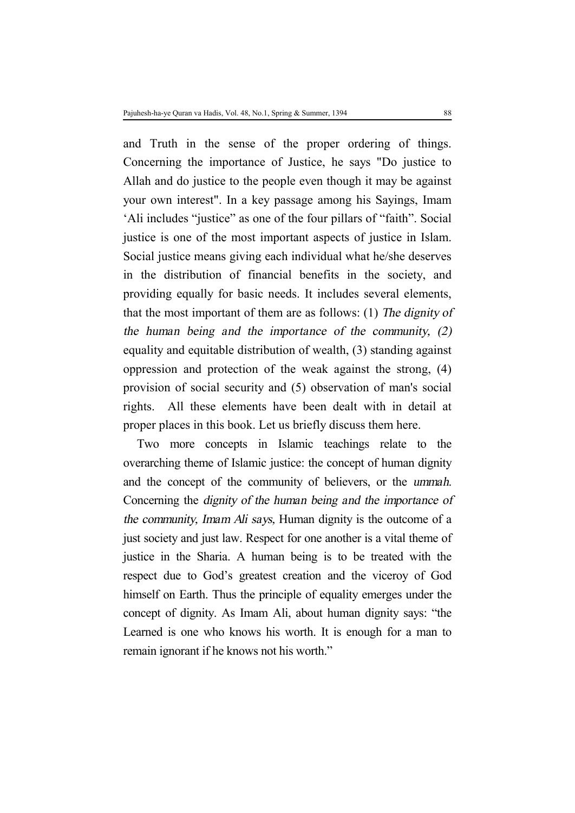and Truth in the sense of the proper ordering of things. Concerning the importance of Justice, he says "Do justice to Allah and do justice to the people even though it may be against your own interest". In a key passage among his Sayings, Imam 'Ali includes "justice" as one of the four pillars of "faith". Social justice is one of the most important aspects of justice in Islam. Social justice means giving each individual what he/she deserves in the distribution of financial benefits in the society, and providing equally for basic needs. It includes several elements, that the most important of them are as follows: (1) *The dignity of the human being and the importance of the community, (2)* equality and equitable distribution of wealth, (3) standing against oppression and protection of the weak against the strong, (4) provision of social security and (5) observation of man's social rights. All these elements have been dealt with in detail at proper places in this book. Let us briefly discuss them here.

Two more concepts in Islamic teachings relate to the overarching theme of Islamic justice: the concept of human dignity and the concept of the community of believers, or the *ummah*. Concerning the *dignity of the human being and the importance of the community, Imam Ali says,* Human dignity is the outcome of a just society and just law. Respect for one another is a vital theme of justice in the Sharia. A human being is to be treated with the respect due to God's greatest creation and the viceroy of God himself on Earth. Thus the principle of equality emerges under the concept of dignity. As Imam Ali, about human dignity says: "the Learned is one who knows his worth. It is enough for a man to remain ignorant if he knows not his worth."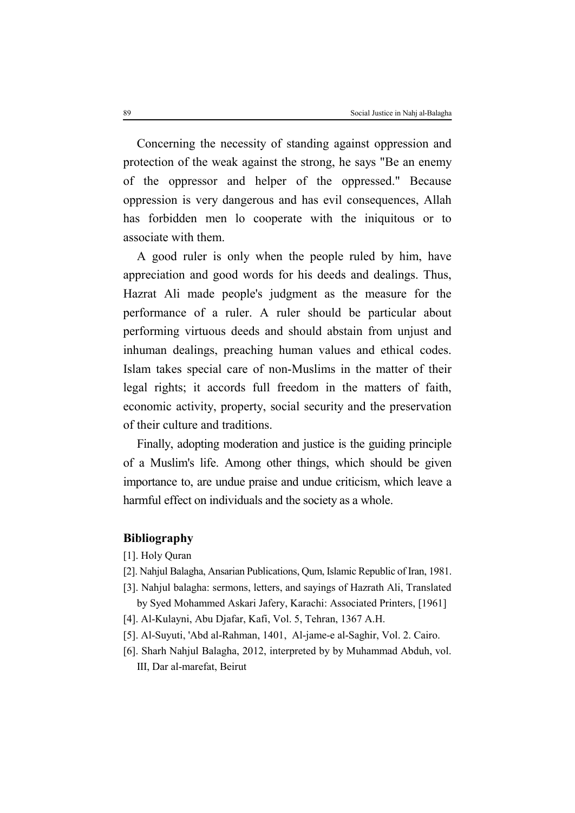Concerning the necessity of standing against oppression and protection of the weak against the strong, he says "Be an enemy of the oppressor and helper of the oppressed." Because oppression is very dangerous and has evil consequences, Allah has forbidden men lo cooperate with the iniquitous or to associate with them.

A good ruler is only when the people ruled by him, have appreciation and good words for his deeds and dealings. Thus, Hazrat Ali made people's judgment as the measure for the performance of a ruler. A ruler should be particular about performing virtuous deeds and should abstain from unjust and inhuman dealings, preaching human values and ethical codes. Islam takes special care of non-Muslims in the matter of their legal rights; it accords full freedom in the matters of faith, economic activity, property, social security and the preservation of their culture and traditions.

Finally, adopting moderation and justice is the guiding principle of a Muslim's life. Among other things, which should be given importance to, are undue praise and undue criticism, which leave a harmful effect on individuals and the society as a whole.

### **Bibliography**

- [1]. Holy Quran
- [2]. Nahjul Balagha, Ansarian Publications, Qum, Islamic Republic of Iran, 1981.
- [3]. Nahjul balagha: sermons, letters, and sayings of Hazrath Ali, Translated
- by Syed Mohammed Askari Jafery, Karachi: Associated Printers, [1961] [4]. Al-Kulayni, Abu Djafar, Kafi, Vol. 5, Tehran, 1367 A.H.
- 
- [5]. Al-Suyuti, 'Abd al-Rahman, 1401, Al-jame-e al-Saghir, Vol. 2. Cairo.
- [6]. Sharh Nahjul Balagha, 2012, interpreted by by Muhammad Abduh, vol. III, Dar al-marefat, Beirut